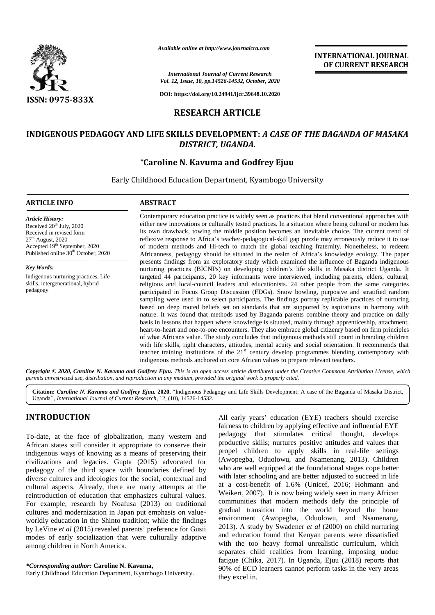

*Available online at http://www.journalcra.com*

*International Journal of Current Research Vol. 12, Issue, 10, pp.14526-14532, October, 2020*

**DOI: https://doi.org/10.24941/ijcr.39648.10.2020**

## **RESEARCH ARTICLE**

# **INDIGENOUS PEDAGOGY AND LIFE SKILLS DEVELOPMENT:** *A CASE OF THE BAGANDA OF MASAKA CASE DISTRICT, UGANDA.*

## **\*Caroline N. Kavuma and Godfrey Ejuu \*Caroline**

Early Childhood Education Department, Kyambogo University

### **ARTICLE INFO ABSTRACT ARTICLE ABSTRACT**

*Article History:* Received  $20<sup>th</sup>$  July, 2020 Received in revised form 27<sup>th</sup> August, 2020 Received in revised form<br>27<sup>th</sup> August, 2020<br>Accepted 19<sup>th</sup> September, 2020 Published online 30<sup>th</sup> October, 2020

*Key Words:* Indigenous nurturing practices, Life skills, intergenerational, hybrid<br>pedagogy pedagogy

Contemporary education practice is widely seen as practices that blend conventional approaches with either new innovations or culturally tested practices. In a situation where being cultural or modern has its own drawback, towing the middle position becomes an inevitable choice. The current trend of reflexive response to Africa's teacher-pedagogical-skill gap puzzle may erroneously reduce it to use reflexive of modern methods and Hi-tech to match the global teaching fraternity. Nonetheless, to redeem<br>Africanness, pedagogy should be situated in the realm of Africa's knowledge ecology. The paper Africanness, pedagogy should be situated in the realm of Africa's knowledge ecology. The paper presents findings from an exploratory study which examined the influence of Baganda indigenous nurturing practices (BICNPs) on developing children's life skills in Masaka district Uganda. It targeted 44 participants, 20 key informants were interviewed, including parents, elders, cultural, religious and local-council leaders and educationists. 24 other people from the same categories participated in Focus Group Discussion (FDGs). Snow bowling, purposive and stratified random sampling were used in to select participants. The findings portray replicable practices of nurturing based on deep rooted beliefs set on standards that are supported by aspirations in harmony with nature. It was found that methods used by Baganda parents combine theory and practice on daily basis in lessons that happen where knowledge is situated, mainly through apprenticeship, attachment, heart-to-heart and one-to-one encounters. They also embrace global citizenry based on firm principles of what Africans value. The study concludes that indigenous methods still count in branding children with life skills, right characters, attitudes, mental acuity and social orientation. It recommends that teacher training institutions of the  $21<sup>st</sup>$  century develop programmes blending contemporary with indigenous methods anchored on core African values to prepare relevant teachers. Contemporary education practice is widely seen as practices that blend conventional either new innovations or culturally tested practices. In a situation where being culturits own drawback, towing the middle position becom nurturing practices (BICNPs) on developing children's life skills in Masaka district Uganda. It<br>targeted 44 participants, 20 key informants were interviewed, including parents, elders, cultural,<br>religious and local-council with life skills, right characters, attitudes, mental acuity and social orientation. It recommends that<br>teacher training institutions of the 21<sup>st</sup> century develop programmes blending contemporary with<br>indigenous methods a **CARRICA CONTRACT ISSUE CONTRACT CONTRACT CONTRACT CONTRACT ISSUE CONTRACT ISSUE CONTRACT ISSUE CONTRACT ISSUE CONTRACT ISSUE CONTRACT ISSUE CONTRACT ISSUE CONTRACT ISSUE CONTRACT ISSUE CONTRACT ISSUE CONTRACT ISSUE CONTR** *Available online at http://www.journalcra.com*<br> *Research*<br> **Research Conditional Source Conditional Source Conditional Source Conditional Source Conditional Source Conditional Source Conditional Section Conditional Secti** INTERNATIONAL JOINTERNATIONAL JOINTERNATIONAL JOINTERNATIONAL JOINTERNATIONAL JOINTEENSIS26-14532, October, 2020<br>
2326-14532, October, 2020<br>
24941/hjer.39648.10.2020<br>
1 **ARTICLE**<br>
LOPMENT: A CASE OF THE BAGANDA OF MA UGAN

**INTERNATIONAL JOURNAL OF CURRENT RESEARCH**

Copyright © 2020, Caroline N. Kavuma and Godfrey Ejuu. This is an open access article distributed under the Creative Commons Attribution License, which **Copyright © 2020, Caroline N. Kavuma and Godfrey Ejuu.** This is an open access article distributed under the Cre<br>permits unrestricted use, distribution, and reproduction in any medium, provided the original work is proper

Citation: Caroline N. Kavuma and Godfrey Ejuu. 2020. "Indigenous Pedagogy and Life Skills Development: A case of the Baganda of Masaka District, Uganda*", International Journal of Current Research*, 12, (10), 14526-14532.

# **INTRODUCTION INTRODUCTION**

To-date, at the face of globalization, many western and To-date, at the face of globalization, many western and <sup>po</sup><br>African states still consider it appropriate to conserve their indigenous ways of knowing as a means of preserving their <sup>pi</sup> civilizations and legacies. Gupta (2015) advocated for pedagogy of the third space with boundaries defined by diverse cultures and ideologies for the social, contextual and cultural aspects. Already, there are many attempts at the  $\frac{at}{dx}$ reintroduction of education that emphasizes cultural values. For example, research by Noafusa (2013) on traditional cultures and modernization in Japan put emphasis on value worldly education in the Shinto tradition; while the findings cultures and modernization in Japan put emphasis on value-<br>worldly education in the Shinto tradition; while the findings<br>by LeVine *et al* (2015) revealed parents' preference for Gusii modes of early socialization that were culturally adaptive modes of early socialization that we<br>among children in North America. civilizations and legacies. Gupta (2015) advocated for pedagogy of the third space with boundaries defined by v<br>diverse cultures and ideologies for the social, contextual and cultural aspects. Already, there are many atte

All early years' education (EYE) teachers should exercise fairness to children by applying effective and influential EYE pedagogy that stimulates critical thought, develops productive skills; nurtures positive attitudes and values that propel children to apply skills in real-life settings (Awopegba, Oduolowu, and Nsamenang, 2013). Children who are well equipped at the foundational stages cope better with later schooling and are better adjusted to succeed in life at a cost-benefit of 1.6% (Unicef, 2016; Hohmann and Weikert, 2007). It is now being widely seen in many African communities that modern methods defy the principle of gradual transition into the world beyond the home environment (Awopegba, Oduolowu, and Nsamenang, 2013). A study by Swadener *et al* (2000) on child nurturing and education found that Kenyan parents were dissatisfied with the too heavy formal unrealistic curriculum, which separates child realities from learning, imposing undue fatigue (Chika, 2017). In Uganda, Ejuu (2018) reports that 90% of ECD learners cannot perform tasks in the very areas they excel in.

*<sup>\*</sup>Corresponding author:* **Caroline N. Kavuma,** *\*Corresponding* Early Childhood Education Department, Kyambogo University.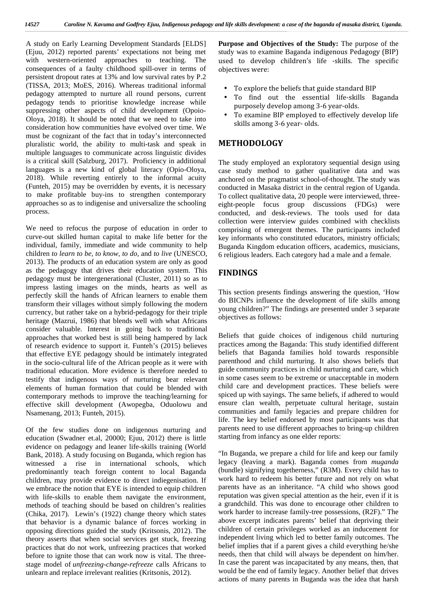A study on Early Learning Development Standards [ELDS] (Ejuu, 2012) reported parents' expectations not being met with western-oriented approaches to teaching. The consequences of a faulty childhood spill-over in terms of persistent dropout rates at 13% and low survival rates by P.2 (TISSA, 2013; MoES, 2016). Whereas traditional informal pedagogy attempted to nurture all round persons, current pedagogy tends to prioritise knowledge increase while suppressing other aspects of child development (Opoio- Oloya, 2018). It should be noted that we need to take into consideration how communities have evolved over time. We must be cognizant of the fact that in today's interconnected pluralistic world, the ability to multi-task and speak in multiple languages to communicate across linguistic divides is a critical skill (Salzburg, 2017). Proficiency in additional languages is a new kind of global literacy (Opio-Oloya, 2018). While reverting entirely to the informal acuity (Funteh, 2015) may be overridden by events, it is necessary to make profitable buy-ins to strengthen contemporary approaches so as to indigenise and universalize the schooling process.

We need to refocus the purpose of education in order to curve-out skilled human capital to make life better for the individual, family, immediate and wide community to help children *to learn to be, to know, to do,* and *to live* (UNESCO, 2013). The products of an education system are only as good as the pedagogy that drives their education system. This pedagogy must be intergenerational (Cluster, 2011) so as to impress lasting images on the minds, hearts as well as perfectly skill the hands of African learners to enable them transform their villages without simply following the modern currency, but rather take on a hybrid-pedagogy for their triple heritage (Mazrui, 1986) that blends well with what Africans consider valuable. Interest in going back to traditional approaches that worked best is still being hampered by lack of research evidence to support it. Funteh's (2015) believes that effective EYE pedagogy should be intimately integrated in the socio-cultural life of the African people as it were with traditional education. More evidence is therefore needed to testify that indigenous ways of nurturing bear relevant elements of human formation that could be blended with contemporary methods to improve the teaching/learning for effective skill development (Awopegba, Oduolowu and Nsamenang, 2013; Funteh, 2015).

Of the few studies done on indigenous nurturing and education (Swadner et.al, 20000; Ejuu, 2012) there is little evidence on pedagogy and leaner life-skills training (World Bank, 2018). A study focusing on Buganda, which region has witnessed a rise in international schools, which predominantly teach foreign content to local Baganda children, may provide evidence to direct indiegenisation. If we embrace the notion that EYE is intended to equip children with life-skills to enable them navigate the environment, methods of teaching should be based on children's realities (Chika, 2017). Lewin's (1922) change theory which states that behavior is a dynamic balance of forces working in opposing directions guided the study (Kritsonis, 2012). The theory asserts that when social services get stuck, freezing practices that do not work, unfreezing practices that worked before to ignite those that can work now is vital. The threestage model of *unfreezing-change-refreeze* calls Africans to unlearn and replace irrelevant realities (Kritsonis, 2012).

**Purpose and Objectives of the Study:** The purpose of the study was to examine Baganda indigenous Pedagogy (BIP) used to develop children's life -skills. The specific objectives were:

- To explore the beliefs that guide standard BIP
- To find out the essential life-skills Baganda purposely develop among 3-6 year-olds.
- To examine BIP employed to effectively develop life skills among 3-6 year- olds.

## **METHODOLOGY**

The study employed an exploratory sequential design using case study method to gather qualitative data and was anchored on the pragmatist school-of-thought. The study was conducted in Masaka district in the central region of Uganda. To collect qualitative data, 20 people were interviewed, three eight-people focus group discussions (FDGs) were conducted, and desk-reviews. The tools used for data collection were interview guides combined with checklists comprising of emergent themes. The participants included key informants who constituted educators, ministry officials; Buganda Kingdom education officers, academics, musicians, 6 religious leaders. Each category had a male and a female.

## **FINDINGS**

This section presents findings answering the question, 'How do BICNPs influence the development of life skills among young children?" The findings are presented under 3 separate objectives as follows:

Beliefs that guide choices of indigenous child nurturing practices among the Baganda: This study identified different beliefs that Baganda families hold towards responsible parenthood and child nurturing. It also shows beliefs that guide community practices in child nurturing and care, which in some cases seem to be extreme or unacceptable in modern child care and development practices. These beliefs were spiced up with sayings. The same beliefs, if adhered to would ensure clan wealth, perpetuate cultural heritage, sustain communities and family legacies and prepare children for life. The key belief endorsed by most participants was that parents need to use different approaches to bring-up children starting from infancy as one elder reports:

"In Buganda, we prepare a child for life and keep our family legacy (leaving a mark). Baganda comes from *muganda* (bundle) signifying togetherness," (R3M). Every child has to work hard to redeem his better future and not rely on what parents have as an inheritance. "A child who shows good reputation was given special attention as the heir, even if it is a grandchild. This was done to encourage other children to work harder to increase family-tree possessions, (R2F)." The above excerpt indicates parents' belief that depriving their children of certain privileges worked as an inducement for independent living which led to better family outcomes. The belief implies that if a parent gives a child everything he/she needs, then that child will always be dependent on him/her. In case the parent was incapacitated by any means, then, that would be the end of family legacy. Another belief that drives actions of many parents in Buganda was the idea that harsh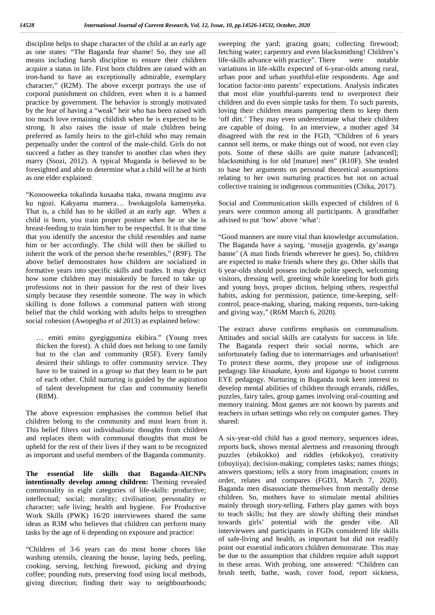discipline helps to shape character of the child at an early age as one states: "The Baganda fear shame! So, they use all means including harsh discipline to ensure their children acquire a status in life. First born children are raised with an iron-hand to have an exceptionally admirable, exemplary character," (R2M). The above excerpt portrays the use of corporal punishment on children, even when it is a banned practice by government. The behavior is strongly motivated by the fear of having a "weak" heir who has been raised with too much love remaining childish when he is expected to be strong. It also raises the issue of male children being preferred as family heirs to the girl-child who may remain perpetually under the control of the male-child. Girls do not succeed a father as they transfer to another clan when they marry (Ssozi, 2012). A typical Muganda is believed to be foresighted and able to determine what a child will be at birth as one elder explained:

"Konooweeka tokalinda kusaaba ttaka, mwana mugimu ava ku ngozi. Kakyama mamera… bwokagolola kamenyeka. That is, a child has to be skilled at an early age. When a child is born, you train proper posture when he or she is breast-feeding to train him/her to be respectful. It is that time that you identify the ancestor the child resembles and name him or her accordingly. The child will then be skilled to inherit the work of the person she/he resembles," (R9F)*.* The above belief demonstrates how children are socialized in formative years into specific skills and trades. It may depict how some children may mistakenly be forced to take up professions not in their passion for the rest of their lives simply because they resemble someone. The way in which skilling is done follows a communal pattern with strong belief that the child working with adults helps to strengthen social cohesion (Awopegba *et al* 2013) as explained below:

… emiti emito gyegiggumiza ekibira." (Young trees thicken the forest). A child does not belong to one family but to the clan and community (R5F). Every family desired their siblings to offer community service. They have to be trained in a group so that they learn to be part of each other. Child nurturing is guided by the aspiration of talent development for clan and community benefit (R8M).

The above expression emphasises the common belief that children belong to the community and must learn from it. This belief filters out individualistic thoughts from children and replaces them with communal thoughts that must be upheld for the rest of their lives if they want to be recognized as important and useful members of the Baganda community.

**The essential life skills that Baganda-AICNPs intentionally develop among children:** Theming revealed commonality in eight categories of life-skills: productive; intellectual; social; morality; civilisation; personality or character; safe living; health and hygiene. For Productive Work Skills (PWK) 16/20 interviewees shared the same ideas as R3M who believes that children can perform many tasks by the age of 6 depending on exposure and practice:

"Children of 3-6 years can do most home chores like washing utensils, cleaning the house, laying beds, peeling, cooking, serving, fetching firewood, picking and drying coffee; pounding nuts, preserving food using local methods, giving direction; finding their way to neighbourhoods;

sweeping the yard; grazing goats; collecting firewood; fetching water; carpentry and even blacksmithing! Children's life-skills advance with practice". There were notable variations in life-skills expected of 6-year-olds among rural, urban poor and urban youthful-elite respondents. Age and location factor-into parents' expectations. Analysis indicates that most elite youthful-parents tend to overprotect their children and do even simple tasks for them. To such parents, loving their children means pampering them to keep them 'off dirt.' They may even underestimate what their children are capable of doing. In an interview, a mother aged 34 disagreed with the rest in the FGD, "Children of 6 years cannot sell items, or make things out of wood, not even clay pots. Some of these skills are quite mature [advanced]; blacksmithing is for old [mature] men" (R10F). She tended to base her arguments on personal theoretical assumptions relating to her own nurturing practices but not on actual collective training in indigenous communities (Chika, 2017).

Social and Communication skills expected of children of 6 years were common among all participants. A grandfather advised to put 'how' above 'what':

"Good manners are more vital than knowledge accumulation. The Baganda have a saying, 'musajja gyagenda, gy'asanga banne' (A man finds friends wherever he goes). So, children are expected to make friends where they go. Other skills that 6 year-olds should possess include polite speech, welcoming visitors, dressing well, greeting while kneeling for both girls and young boys, proper diction, helping others, respectful habits, asking for permission, patience, time-keeping, self control, peace-making, sharing, making requests, turn-taking and giving way," (R6M March 6, 2020).

The extract above confirms emphasis on communalism. Attitudes and social skills are catalysts for success in life. The Baganda respect their social norms, which are unfortunately fading due to intermarriages and urbanisation! To protect these norms, they propose use of indigenous pedagogy like *kisaakate, kyoto* and *kigango* to boost current EYE pedagogy. Nurturing in Buganda took keen interest to develop mental abilities of children through errands, riddles, puzzles, fairy tales, group games involving oral-counting and memory training. Most games are not known by parents and teachers in urban settings who rely on computer games. They shared:

A six-year-old child has a good memory, sequences ideas, reports back, shows mental alertness and rreasoning through puzzles (ebikokko) and riddles (ebikokyo), creativity (obuyiiya); decision-making; completes tasks; names things; answers questions; tells a story from imagination; counts in order, relates and compares (FGD3, March 7, 2020). Baganda men disassociate themselves from mentally dense children. So, mothers have to stimulate mental abilities mainly through story-telling. Fathers play games with boys to teach skills; but they are slowly shifting their mindset towards girls' potential with the gender vibe. All interviewees and participants in FGDs considered life skills of safe-living and health, as important but did not readily point out essential indicators children demonstrate. This may be due to the assumption that children require adult support in these areas. With probing, one answered: "Children can brush teeth, bathe, wash, cover food, report sickness,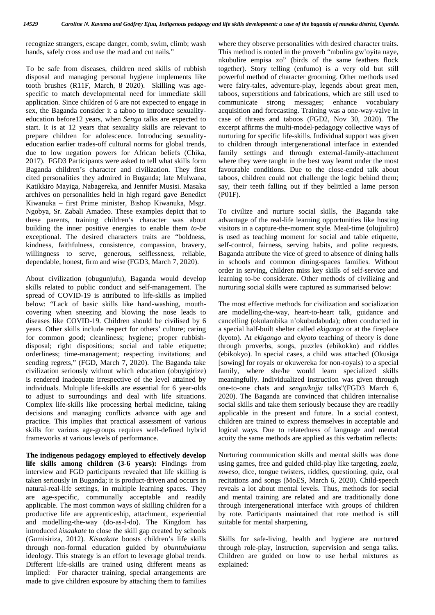recognize strangers, escape danger, comb, swim, climb; wash hands, safely cross and use the road and cut nails."

To be safe from diseases, children need skills of rubbish disposal and managing personal hygiene implements like tooth brushes (R11F, March, 8 2020). Skilling was age specific to match developmental need for immediate skill application. Since children of 6 are not expected to engage in sex, the Baganda consider it a taboo to introduce sexuality education before12 years, when *Senga* talks are expected to start. It is at 12 years that sexuality skills are relevant to prepare children for adolescence. Introducing sexuality education earlier trades-off cultural norms for global trends, due to low negation powers for African beliefs (Chika, 2017). FGD3 Participants were asked to tell what skills form Baganda children's character and civilization. They first cited personalities they admired in Buganda; late Mulwana, Katikkiro Mayiga, Nabagereka, and Jennifer Musisi. Masaka archives on personalities held in high regard gave Benedict Kiwanuka – first Prime minister, Bishop Kiwanuka, Msgr. Ngobya, Sr. Zabali Amadeo. These examples depict that to these parents, training children's character was about building the inner positive energies to enable them *to-be* exceptional. The desired characters traits are "boldness, kindness, faithfulness, consistence, compassion, bravery, willingness to serve, generous, selflessness, reliable, dependable, honest, firm and wise (FGD3, March 7, 2020).

About civilization (obugunjufu), Baganda would develop skills related to public conduct and self-management. The spread of COVID-19 is attributed to life-skills as implied below: "Lack of basic skills like hand-washing, mouth covering when sneezing and blowing the nose leads to diseases like COVID-19. Children should be civilised by 6 years. Other skills include respect for others' culture; caring for common good; cleanliness; hygiene; proper rubbish disposal; right dispositions; social and table etiquette; orderliness; time-management; respecting invitations; and sending regrets," (FGD, March 7, 2020). The Baganda take civilization seriously without which education (obuyigirize) is rendered inadequate irrespective of the level attained by individuals. Multiple life-skills are essential for 6 year-olds to adjust to surroundings and deal with life situations. Complex life-skills like processing herbal medicine, taking decisions and managing conflicts advance with age and practice. This implies that practical assessment of various skills for various age-groups requires well-defined hybrid frameworks at various levels of performance.

**The indigenous pedagogy employed to effectively develop life skills among children (3-6 years):** Findings from interview and FGD participants revealed that life skilling is taken seriously in Buganda; it is product-driven and occurs in natural-real-life settings, in multiple learning spaces. They are age-specific, communally acceptable and readily applicable. The most common ways of skilling children for a productive life are apprenticeship, attachment, experiential and modelling-the-way (do-as-I-do). The Kingdom has introduced *kisaakate* to close the skill gap created by schools (Gumisiriza, 2012)*. Kisaakate* boosts children's life skills through non-formal education guided by *obuntubulamu* ideology. This strategy is an effort to leverage global trends. Different life-skills are trained using different means as implied: For character training, special arrangements are made to give children exposure by attaching them to families where they observe personalities with desired character traits. This method is rooted in the proverb "mbulira gw'oyita naye, nkubulire empisa zo" (birds of the same feathers flock together). Story telling (enfumo) is a very old but still powerful method of character grooming. Other methods used were fairy-tales, adventure-play, legends about great men, taboos, superstitions and fabrications, which are still used to communicate strong messages; enhance vocabulary acquisition and forecasting. Training was a one-way-valve in case of threats and taboos (FGD2, Nov 30, 2020). The excerpt affirms the multi-model-pedagogy collective ways of nurturing for specific life-skills. Individual support was given to children through intergenerational interface in extended family settings and through external-family-attachment where they were taught in the best way learnt under the most favourable conditions. Due to the close-ended talk about taboos, children could not challenge the logic behind them; say, their teeth falling out if they belittled a lame person (P01F).

To civilize and nurture social skills, the Baganda take advantage of the real-life learning opportunities like hosting visitors in a capture-the-moment style. Meal-time (olujjuliro) is used as teaching moment for social and table etiquette, self-control, fairness, serving habits, and polite requests. Baganda attribute the vice of greed to absence of dining halls in schools and common dining-spaces families. Without order in serving, children miss key skills of self-service and learning to-be considerate. Other methods of civilizing and nurturing social skills were captured as summarised below:

The most effective methods for civilization and socialization are modelling-the-way, heart-to-heart talk, guidance and cancelling (okulambika n'okubudabuda); often conducted in a special half-built shelter called *ekigango* or at the fireplace (kyoto). At *ekigango* and e*kyoto* teaching of theory is done through proverbs, songs, puzzles (ebikokko) and riddles (ebikokyo). In special cases, a child was attached (Okusiga [sowing] for royals or okuwereka for non-royals) to a special family, where she/he would learn specialized skills meaningfully. Individualized instruction was given through one-to-one chats and *senga/kojja* talks"(FGD3 March 6, 2020). The Baganda are convinced that children internalise social skills and take them seriously because they are readily applicable in the present and future. In a social context, children are trained to express themselves in acceptable and logical ways. Due to relatedness of language and mental acuity the same methods are applied as this verbatim reflects:

Nurturing communication skills and mental skills was done using games, free and guided child-play like targeting, *zaala, mweso*, dice, tongue twisters, riddles, questioning, quiz, oral recitations and songs (MoES, March 6, 2020). Child-speech reveals a lot about mental levels. Thus, methods for social and mental training are related and are traditionally done through intergenerational interface with groups of children by rote. Participants maintained that rote method is still suitable for mental sharpening.

Skills for safe-living, health and hygiene are nurtured through role-play, instruction, supervision and senga talks. Children are guided on how to use herbal mixtures as explained: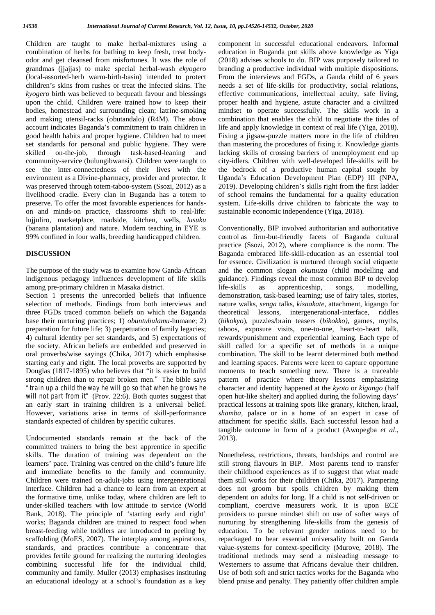Children are taught to make herbal-mixtures using a combination of herbs for bathing to keep fresh, treat body odor and get cleansed from misfortunes. It was the role of grandmas (jjajjas) to make special herbal-wash *ekyogero* (local-assorted-herb warm-birth-basin) intended to protect children's skins from rushes or treat the infected skins. The *kyogero* birth was believed to bequeath favour and blessings upon the child. Children were trained how to keep their bodies, homestead and surrounding clean; latrine-smoking and making utensil-racks (obutandalo) (R4M). The above account indicates Baganda's commitment to train children in good health habits and proper hygiene. Children had to meet set standards for personal and public hygiene. They were skilled on-the-job, through task-based-leaning and community-service (bulungibwansi). Children were taught to see the inter-connectedness of their lives with the environment as a Divine-pharmacy, provider and protector. It was preserved through totem-taboo-system (Ssozi, 2012) as a livelihood cradle. Every clan in Buganda has a totem to preserve. To offer the most favorable experiences for hands on and minds-on practice, classrooms shift to real-life: lujjuliro, marketplace, roadside, kitchen, wells, *lusuku* (banana plantation) and nature. Modern teaching in EYE is 99% confined in four walls, breeding handicapped children.

#### **DISCUSSION**

The purpose of the study was to examine how Ganda-African indigenous pedagogy influences development of life skills among pre-primary children in Masaka district.

Section 1 presents the unrecorded beliefs that influence selection of methods. Findings from both interviews and three FGDs traced common beliefs on which the Baganda base their nurturing practices; 1) *obuntubulamu*-humane; 2) preparation for future life; 3) perpetuation of family legacies; 4) cultural identity per set standards, and 5) expectations of the society. African beliefs are embedded and preserved in oral proverbs/wise sayings (Chika, 2017) which emphasise starting early and right. The local proverbs are supported by Douglas (1817-1895) who believes that "it is easier to build strong children than to repair broken men*."* The bible says *"train up a child the way he will go so that when he grows he will not part from it"* (Prov. 22:6). Both quotes suggest that an early start in training children is a universal belief. However, variations arise in terms of skill-performance standards expected of children by specific cultures.

Undocumented standards remain at the back of the committed trainers to bring the best apprentice in specific skills. The duration of training was dependent on the learners' pace. Training was centred on the child's future life and immediate benefits to the family and community. Children were trained on-adult-jobs using intergenerational interface. Children had a chance to learn from an expert at the formative time, unlike today, where children are left to under-skilled teachers with low attitude to service (World Bank, 2018). The principle of 'starting early and right' works; Baganda children are trained to respect food when breast-feeding while toddlers are introduced to peeling by scaffolding (MoES, 2007). The interplay among aspirations, standards, and practices contribute a concentrate that provides fertile ground for realizing the nurturing ideologies combining successful life for the individual child, community and family. Muller (2013) emphasises instituting an educational ideology at a school's foundation as a key

component in successful educational endeavors. Informal education in Buganda put skills above knowledge as Yiga (2018) advises schools to do. BIP was purposely tailored to branding a productive individual with multiple dispositions. From the interviews and FGDs, a Ganda child of 6 years needs a set of life-skills for productivity, social relations, effective communications, intellectual acuity, safe living, proper health and hygiene, astute character and a civilized mindset to operate successfully. The skills work in a combination that enables the child to negotiate the tides of life and apply knowledge in context of real life (Yiga, 2018). Fixing a jigsaw-puzzle matters more in the life of children than mastering the procedures of fixing it. Knowledge giants lacking skills of crossing barriers of unemployment end up city-idlers. Children with well-developed life-skills will be the bedrock of a productive human capital sought by Uganda's Education Development Plan (EDP) III (NPA, 2019). Developing children's skills right from the first ladder of school remains the fundamental for a quality education system. Life-skills drive children to fabricate the way to sustainable economic independence (Yiga, 2018).

Conventionally, BIP involved authoritarian and authoritative control as firm-but-friendly facets of Baganda cultural practice (Ssozi, 2012), where compliance is the norm. The Baganda embraced life-skill-education as an essential tool for essence. Civilization is nurtured through social etiquette and the common slogan *okutuuza* (child modelling and guidance). Findings reveal the most common BIP to develop life-skills as apprenticeship, songs, modelling, demonstration, task-based learning; use of fairy tales, stories, nature walks, *senga* talks, *kisaakate*, attachment, kigango for theoretical lessons, intergenerational-interface, riddles (*bikokyo*), puzzles/brain teasers (*bikokko),* games, myths, taboos, exposure visits, one-to-one, heart-to-heart talk, rewards/punishment and experiential learning. Each type of skill called for a specific set of methods in a unique combination. The skill to be learnt determined both method and learning spaces. Parents were keen to capture opportune moments to teach something new. There is a traceable pattern of practice where theory lessons emphasizing character and identity happened at the *kyoto* or *kigango* (half open hut-like shelter) and applied during the following days' practical lessons at training spots like granary, kitchen, kraal, *shamba,* palace or in a home of an expert in case of attachment for specific skills. Each successful lesson had a tangible outcome in form of a product (Awopegba *et al*., 2013).

Nonetheless, restrictions, threats, hardships and control are still strong flavours in BIP. Most parents tend to transfer their childhood experiences as if to suggest that what made them still works for their children (Chika, 2017). Pampering does not groom but spoils children by making them dependent on adults for long. If a child is not self-driven or compliant, coercive measurers work. It is upon ECE providers to pursue mindset shift on use of softer ways of nurturing by strengthening life-skills from the genesis of education. To be relevant gender notions need to be repackaged to bear essential universality built on Ganda value-systems for context-specificity (Murove, 2018). The traditional methods may send a misleading message to Westerners to assume that Africans devalue their children. Use of both soft and strict tactics works for the Baganda who blend praise and penalty. They patiently offer children ample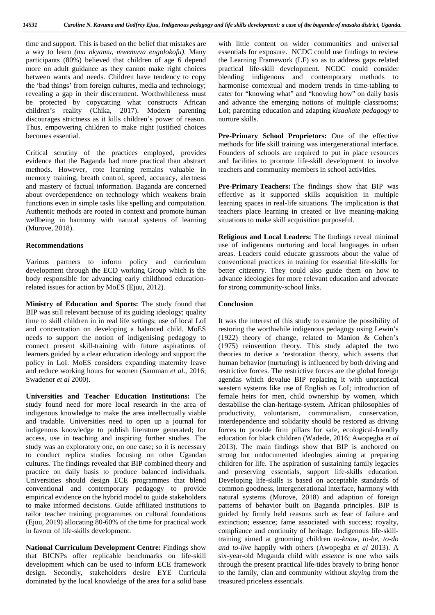time and support. This is based on the belief that mistakes are a way to learn *(mu nkyamu, mwemuva engolokofu)*. Many participants (80%) believed that children of age 6 depend more on adult guidance as they cannot make right choices between wants and needs. Children have tendency to copy the 'bad things' from foreign cultures, media and technology; revealing a gap in their discernment. Worthwhileness must be protected by copycatting what constructs African children's reality (Chika, 2017). Modern parenting discourages strictness as it kills children's power of reason. Thus, empowering children to make right justified choices becomes essential.

Critical scrutiny of the practices employed, provides evidence that the Baganda had more practical than abstract methods. However, rote learning remains valuable in memory training, breath control, speed, accuracy, alertness and mastery of factual information. Baganda are concerned about overdependence on technology which weakens brain functions even in simple tasks like spelling and computation. Authentic methods are rooted in context and promote human wellbeing in harmony with natural systems of learning (Murove, 2018).

#### **Recommendations**

Various partners to inform policy and curriculum development through the ECD working Group which is the body responsible for advancing early childhood educationrelated issues for action by MoES (Ejuu, 2012).

**Ministry of Education and Sports:** The study found that BIP was still relevant because of its guiding ideology; quality time to skill children in in real life settings; use of local LoI and concentration on developing a balanced child. MoES needs to support the notion of indigenising pedagogy to connect present skill-training with future aspirations of learners guided by a clear education ideology and support the policy in LoI. MoES considers expanding maternity leave and reduce working hours for women (Samman *et al*., 2016; Swadenor *et al* 2000).

**Universities and Teacher Education Institutions:** The study found need for more local research in the area of indigenous knowledge to make the area intellectually viable and tradable. Universities need to open up a journal for indigenous knowledge to publish literature generated; for access, use in teaching and inspiring further studies. The study was an exploratory one, on one case; so it is necessary to conduct replica studies focusing on other Ugandan cultures. The findings revealed that BIP combined theory and practice on daily basis to produce balanced individuals. Universities should design ECE programmes that blend conventional and contemporary pedagogy to provide empirical evidence on the hybrid model to guide stakeholders to make informed decisions. Guide affiliated institutions to tailor teacher training programmes on cultural foundations (Ejuu, 2019) allocating 80-60% of the time for practical work in favour of life-skills development.

**National Curriculum Development Centre:** Findings show that BICNPs offer replicable benchmarks on life-skill development which can be used to inform ECE framework design. Secondly, stakeholders desire EYE Curricula dominated by the local knowledge of the area for a solid base

with little content on wider communities and universal essentials for exposure. NCDC could use findings to review the Learning Framework (LF) so as to address gaps related practical life-skill development. NCDC could consider blending indigenous and contemporary methods to harmonise contextual and modern trends in time-tabling to cater for "knowing what" and "knowing how" on daily basis and advance the emerging notions of multiple classrooms; LoI; parenting education and adapting *kisaakate pedagogy* to nurture skills.

**Pre-Primary School Proprietors:** One of the effective methods for life skill training was intergenerational interface. Founders of schools are required to put in place resources and facilities to promote life-skill development to involve teachers and community members in school activities.

**Pre-Primary Teachers:** The findings show that BIP was effective as it supported skills acquisition in multiple learning spaces in real-life situations. The implication is that teachers place learning in created or live meaning-making situations to make skill acquisition purposeful.

**Religious and Local Leaders:** The findings reveal minimal use of indigenous nurturing and local languages in urban areas. Leaders could educate grassroots about the value of conventional practices in training for essential life-skills for better citizenry. They could also guide them on how to advance ideologies for more relevant education and advocate for strong community-school links.

#### **Conclusion**

It was the interest of this study to examine the possibility of restoring the worthwhile indigenous pedagogy using Lewin's (1922) theory of change, related to Manion & Cohen's (1975) reinvention theory. This study adapted the two theories to derive a 'restoration theory, which asserts that human behavior (nurturing) is influenced by both driving and restrictive forces. The restrictive forces are the global foreign agendas which devalue BIP replacing it with unpractical western systems like use of English as LoI; introduction of female heirs for men, child ownership by women, which destabilise the clan-heritage-system. African philosophies of productivity, voluntarism, communalism, conservation, interdependence and solidarity should be restored as driving forces to provide firm pillars for safe, ecological-friendly education for black children (Wadede, 2016; Awopegba *et al* 2013). The main findings show that BIP is anchored on strong but undocumented ideologies aiming at preparing children for life. The aspiration of sustaining family legacies and preserving essentials, support life-skills education. Developing life-skills is based on acceptable standards of common goodness, intergenerational interface, harmony with natural systems (Murove, 2018) and adaption of foreign patterns of behavior built on Baganda principles. BIP is guided by firmly held reasons such as fear of failure and extinction; essence; fame associated with success; royalty, compliance and continuity of heritage. Indigenous life-skilltraining aimed at grooming children *to-know, to-be, to-do and to-live* happily with others (Awopegba *et al* 2013). A six-year-old Muganda child with *essence* is one who sails through the present practical life-tides bravely to bring honor to the family, clan and community without *slaying* from the treasured priceless essentials.